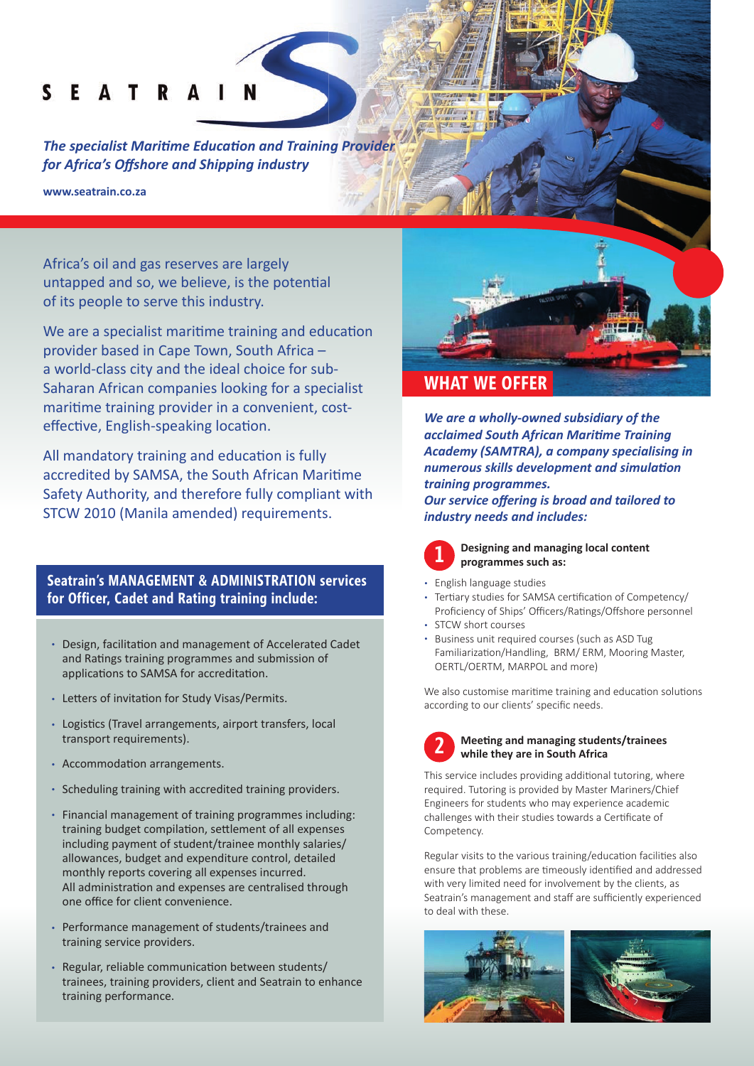#### $\mathbf{s}$ F A T R

**The specialist Maritime Education and Training Provider** *for Africa's Off shore and Shipping industry*

**www.seatrain.co.za**

Africa's oil and gas reserves are largely untapped and so, we believe, is the potential of its people to serve this industry.

We are a specialist maritime training and education provider based in Cape Town, South Africa – a world-class city and the ideal choice for sub-Saharan African companies looking for a specialist maritime training provider in a convenient, costeffective, English-speaking location.

All mandatory training and education is fully accredited by SAMSA, the South African Maritime Safety Authority, and therefore fully compliant with STCW 2010 (Manila amended) requirements.

## **Seatrain's MANAGEMENT & ADMINISTRATION services for Officer, Cadet and Rating training include:**

- Design, facilitation and management of Accelerated Cadet and Ratings training programmes and submission of applications to SAMSA for accreditation.
- Letters of invitation for Study Visas/Permits.
- Logistics (Travel arrangements, airport transfers, local transport requirements).
- Accommodation arrangements.
- Scheduling training with accredited training providers.
- Financial management of training programmes including: training budget compilation, settlement of all expenses including payment of student/trainee monthly salaries/ allowances, budget and expenditure control, detailed monthly reports covering all expenses incurred. All administration and expenses are centralised through one office for client convenience.
- Performance management of students/trainees and training service providers.
- Regular, reliable communication between students/ trainees, training providers, client and Seatrain to enhance training performance.



## **WHAT WE OFFER**

*We are a wholly-owned subsidiary of the acclaimed South African Mariti me Training Academy (SAMTRA), a company specialising in numerous skills development and simulation training programmes.* 

**Our service offering is broad and tailored to** *industry needs and includes:*

**Designing and managing local content programmes such as:**

- English language studies
- Tertiary studies for SAMSA certification of Competency/ Proficiency of Ships' Officers/Ratings/Offshore personnel • STCW short courses
- 
- Business unit required courses (such as ASD Tug Familiarization/Handling, BRM/ ERM, Mooring Master, OERTL/OERTM, MARPOL and more)

We also customise maritime training and education solutions according to our clients' specific needs.



**1**

#### **Meeting and managing students/trainees while they are in South Africa**

This service includes providing additional tutoring, where required. Tutoring is provided by Master Mariners/Chief Engineers for students who may experience academic challenges with their studies towards a Certificate of Competency.

Regular visits to the various training/education facilities also ensure that problems are timeously identified and addressed with very limited need for involvement by the clients, as Seatrain's management and staff are sufficiently experienced to deal with these.